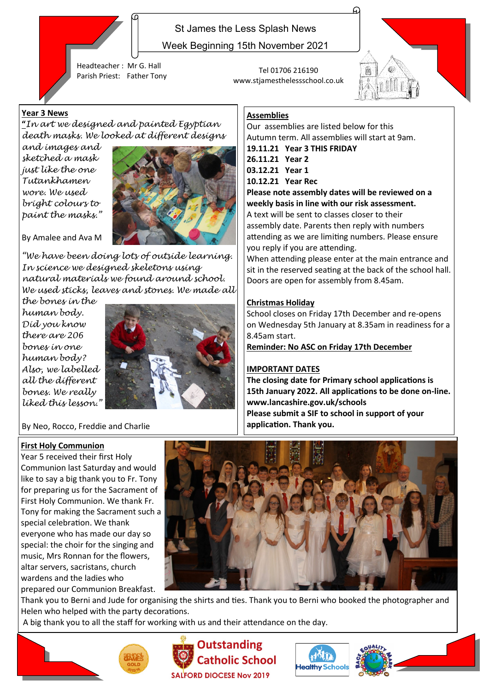

St James the Less Splash News

Week Beginning 15th November 2021

www.stjamesthelessschool.co.uk

Our assemblies are listed below for this Autumn term. All assemblies will start at 9am.

**19.11.21 Year 3 THIS FRIDAY**

**Assemblies**

**26.11.21 Year 2 03.12.21 Year 1 10.12.21 Year Rec**

Headteacher : Mr G. Hall Parish Priest: Father Tony Tel 01706 216190

#### **Year 3 News**

#### **"***In art we designed and painted Egyptian death masks. We looked at different designs*

*and images and sketched a mask just like the one Tutankhamen wore. We used bright colours to paint the masks."* 



By Amalee and Ava M

*"We have been doing lots of outside learning. In science we designed skeletons using natural materials we found around school. We used sticks, leaves and stones. We made all* 

*the bones in the human body. Did you know there are 206 bones in one human body? Also, we labelled all the different bones. We really liked this lesson."*



#### By Neo, Rocco, Freddie and Charlie

#### **First Holy Communion**

Year 5 received their first Holy Communion last Saturday and would like to say a big thank you to Fr. Tony for preparing us for the Sacrament of First Holy Communion. We thank Fr. Tony for making the Sacrament such a special celebration. We thank everyone who has made our day so special: the choir for the singing and music, Mrs Ronnan for the flowers, altar servers, sacristans, church wardens and the ladies who prepared our Communion Breakfast.



lealthy Schoo

Thank you to Berni and Jude for organising the shirts and ties. Thank you to Berni who booked the photographer and Helen who helped with the party decorations.

A big thank you to all the staff for working with us and their attendance on the day.







A text will be sent to classes closer to their assembly date. Parents then reply with numbers attending as we are limiting numbers. Please ensure you reply if you are attending.

**Please note assembly dates will be reviewed on a weekly basis in line with our risk assessment.** 

When attending please enter at the main entrance and sit in the reserved seating at the back of the school hall. Doors are open for assembly from 8.45am.

#### **Christmas Holiday**

School closes on Friday 17th December and re-opens on Wednesday 5th January at 8.35am in readiness for a 8.45am start.

**Reminder: No ASC on Friday 17th December**

#### **IMPORTANT DATES**

**The closing date for Primary school applications is 15th January 2022. All applications to be done on-line. www.lancashire.gov.uk/schools Please submit a SIF to school in support of your application. Thank you.**